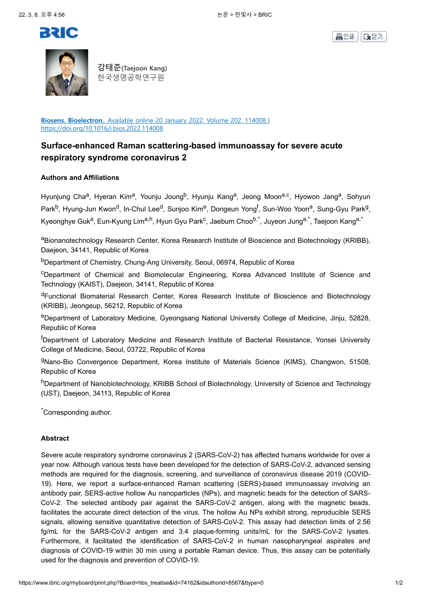





**강태준(Taejoon Kang)** 한국생명공학연구원

**Biosens. Bioelectron.**, Available online 20 January 2022, Volume 202, 114008 | https://doi.org/10.1016/j.bios.2022.114008

# **Surface-enhanced Raman scattering-based immunoassay for severe acute respiratory syndrome coronavirus 2**

### **Authors and Affiliations**

Hyunjung Cha<sup>a</sup>, Hyeran Kim<sup>a</sup>, Younju Joung<sup>b</sup>, Hyunju Kang<sup>a</sup>, Jeong Moon<sup>a,c</sup>, Hyowon Jang<sup>a</sup>, Sohyun Park<sup>b</sup>, Hyung-Jun Kwon<sup>d</sup>, In-Chul Lee<sup>d</sup>, Sunjoo Kim<sup>e</sup>, Dongeun Yong<sup>f</sup>, Sun-Woo Yoon<sup>a</sup>, Sung-Gyu Park<sup>g</sup>, Kyeonghye Guk<sup>a</sup>, Eun-Kyung Lim<sup>a,h</sup>, Hyun Gyu Park<sup>c</sup>, Jaebum Choo<sup>b,\*</sup>, Juyeon Jung<sup>a,\*</sup>, Taejoon Kang<sup>a,\*</sup>

aBionanotechnology Research Center, Korea Research Institute of Bioscience and Biotechnology (KRIBB), Daejeon, 34141, Republic of Korea

bDepartment of Chemistry, Chung-Ang University, Seoul, 06974, Republic of Korea

<sup>c</sup>Department of Chemical and Biomolecular Engineering, Korea Advanced Institute of Science and Technology (KAIST), Daejeon, 34141, Republic of Korea

<sup>d</sup>Functional Biomaterial Research Center, Korea Research Institute of Bioscience and Biotechnology (KRIBB), Jeongeup, 56212, Republic of Korea

eDepartment of Laboratory Medicine, Gyeongsang National University College of Medicine, Jinju, 52828, Republic of Korea

<sup>f</sup>Department of Laboratory Medicine and Research Institute of Bacterial Resistance, Yonsei University College of Medicine, Seoul, 03722, Republic of Korea

<sup>g</sup>Nano-Bio Convergence Department, Korea Institute of Materials Science (KIMS), Changwon, 51508, Republic of Korea

hDepartment of Nanobiotechnology, KRIBB School of Biotechnology, University of Science and Technology (UST), Daejeon, 34113, Republic of Korea

\*Corresponding author.

### **Abstract**

Severe acute respiratory syndrome coronavirus 2 (SARS-CoV-2) has affected humans worldwide for over a year now. Although various tests have been developed for the detection of SARS-CoV-2, advanced sensing methods are required for the diagnosis, screening, and surveillance of coronavirus disease 2019 (COVID-19). Here, we report a surface-enhanced Raman scattering (SERS)-based immunoassay involving an antibody pair, SERS-active hollow Au nanoparticles (NPs), and magnetic beads for the detection of SARS-CoV-2. The selected antibody pair against the SARS-CoV-2 antigen, along with the magnetic beads, facilitates the accurate direct detection of the virus. The hollow Au NPs exhibit strong, reproducible SERS signals, allowing sensitive quantitative detection of SARS-CoV-2. This assay had detection limits of 2.56 fg/mL for the SARS-CoV-2 antigen and 3.4 plaque-forming units/mL for the SARS-CoV-2 lysates. Furthermore, it facilitated the identification of SARS-CoV-2 in human nasopharyngeal aspirates and diagnosis of COVID-19 within 30 min using a portable Raman device. Thus, this assay can be potentially used for the diagnosis and prevention of COVID-19.